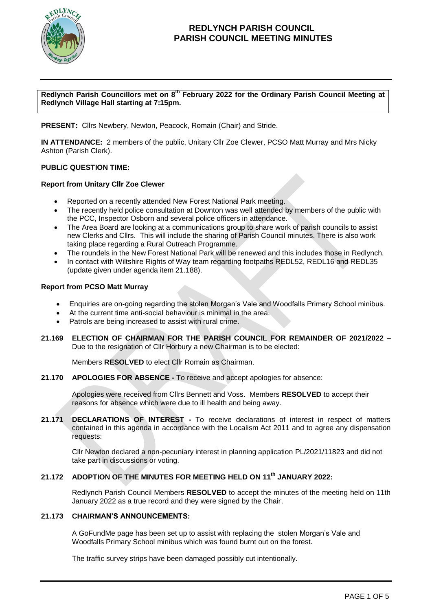

### **Redlynch Parish Councillors met on 8 th February 2022 for the Ordinary Parish Council Meeting at Redlynch Village Hall starting at 7:15pm.**

**PRESENT:** Cllrs Newbery, Newton, Peacock, Romain (Chair) and Stride.

**IN ATTENDANCE:** 2 members of the public, Unitary Cllr Zoe Clewer, PCSO Matt Murray and Mrs Nicky Ashton (Parish Clerk).

#### **PUBLIC QUESTION TIME:**

#### **Report from Unitary Cllr Zoe Clewer**

- Reported on a recently attended New Forest National Park meeting.
- The recently held police consultation at Downton was well attended by members of the public with the PCC, Inspector Osborn and several police officers in attendance.
- The Area Board are looking at a communications group to share work of parish councils to assist new Clerks and Cllrs. This will include the sharing of Parish Council minutes. There is also work taking place regarding a Rural Outreach Programme.
- The roundels in the New Forest National Park will be renewed and this includes those in Redlynch.
- In contact with Wiltshire Rights of Way team regarding footpaths REDL52, REDL16 and REDL35 (update given under agenda item 21.188).

#### **Report from PCSO Matt Murray**

- Enquiries are on-going regarding the stolen Morgan's Vale and Woodfalls Primary School minibus.
- At the current time anti-social behaviour is minimal in the area.
- Patrols are being increased to assist with rural crime.
- **21.169 ELECTION OF CHAIRMAN FOR THE PARISH COUNCIL FOR REMAINDER OF 2021/2022 –** Due to the resignation of Cllr Horbury a new Chairman is to be elected:

Members **RESOLVED** to elect Cllr Romain as Chairman.

**21.170 APOLOGIES FOR ABSENCE -** To receive and accept apologies for absence:

Apologies were received from Cllrs Bennett and Voss. Members **RESOLVED** to accept their reasons for absence which were due to ill health and being away.

**21.171 DECLARATIONS OF INTEREST -** To receive declarations of interest in respect of matters contained in this agenda in accordance with the Localism Act 2011 and to agree any dispensation requests:

Cllr Newton declared a non-pecuniary interest in planning application PL/2021/11823 and did not take part in discussions or voting.

## **21.172 ADOPTION OF THE MINUTES FOR MEETING HELD ON 11 th JANUARY 2022:**

Redlynch Parish Council Members **RESOLVED** to accept the minutes of the meeting held on 11th January 2022 as a true record and they were signed by the Chair.

#### **21.173 CHAIRMAN'S ANNOUNCEMENTS:**

A GoFundMe page has been set up to assist with replacing the stolen Morgan's Vale and Woodfalls Primary School minibus which was found burnt out on the forest.

The traffic survey strips have been damaged possibly cut intentionally.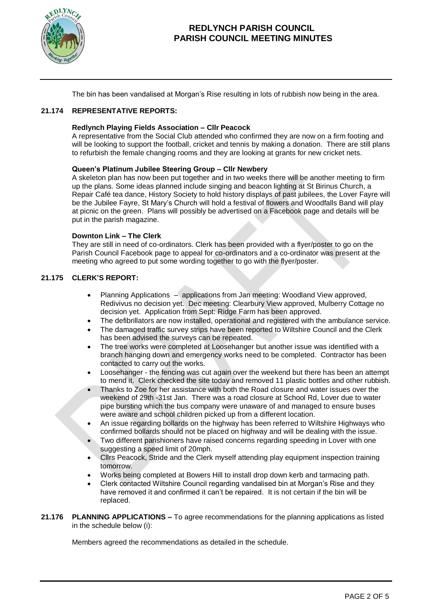

The bin has been vandalised at Morgan's Rise resulting in lots of rubbish now being in the area.

### **21.174 REPRESENTATIVE REPORTS:**

#### **Redlynch Playing Fields Association – Cllr Peacock**

A representative from the Social Club attended who confirmed they are now on a firm footing and will be looking to support the football, cricket and tennis by making a donation. There are still plans to refurbish the female changing rooms and they are looking at grants for new cricket nets.

#### **Queen's Platinum Jubilee Steering Group – Cllr Newbery**

A skeleton plan has now been put together and in two weeks there will be another meeting to firm up the plans. Some ideas planned include singing and beacon lighting at St Birinus Church, a Repair Café tea dance, History Society to hold history displays of past jubilees, the Lover Fayre will be the Jubilee Fayre, St Mary's Church will hold a festival of flowers and Woodfalls Band will play at picnic on the green. Plans will possibly be advertised on a Facebook page and details will be put in the parish magazine.

#### **Downton Link – The Clerk**

They are still in need of co-ordinators. Clerk has been provided with a flyer/poster to go on the Parish Council Facebook page to appeal for co-ordinators and a co-ordinator was present at the meeting who agreed to put some wording together to go with the flyer/poster.

#### **21.175 CLERK'S REPORT:**

- Planning Applications applications from Jan meeting: Woodland View approved, Redivivus no decision yet. Dec meeting: Clearbury View approved, Mulberry Cottage no decision yet. Application from Sept: Ridge Farm has been approved.
- The defibrillators are now installed, operational and registered with the ambulance service.
- The damaged traffic survey strips have been reported to Wiltshire Council and the Clerk has been advised the surveys can be repeated.
- The tree works were completed at Loosehanger but another issue was identified with a branch hanging down and emergency works need to be completed. Contractor has been contacted to carry out the works.
- Loosehanger the fencing was cut again over the weekend but there has been an attempt to mend it. Clerk checked the site today and removed 11 plastic bottles and other rubbish.
- Thanks to Zoe for her assistance with both the Road closure and water issues over the weekend of 29th -31st Jan. There was a road closure at School Rd, Lover due to water pipe bursting which the bus company were unaware of and managed to ensure buses were aware and school children picked up from a different location.
- An issue regarding bollards on the highway has been referred to Wiltshire Highways who confirmed bollards should not be placed on highway and will be dealing with the issue.
- Two different parishioners have raised concerns regarding speeding in Lover with one suggesting a speed limit of 20mph.
- Cllrs Peacock, Stride and the Clerk myself attending play equipment inspection training tomorrow.
- Works being completed at Bowers Hill to install drop down kerb and tarmacing path.
- Clerk contacted Wiltshire Council regarding vandalised bin at Morgan's Rise and they have removed it and confirmed it can't be repaired. It is not certain if the bin will be replaced.

**21.176 PLANNING APPLICATIONS –** To agree recommendations for the planning applications as listed in the schedule below (i):

Members agreed the recommendations as detailed in the schedule.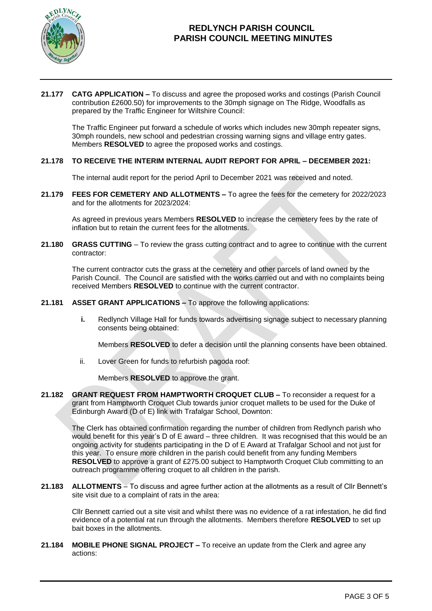

#### **21.177 CATG APPLICATION –** To discuss and agree the proposed works and costings (Parish Council contribution £2600.50) for improvements to the 30mph signage on The Ridge, Woodfalls as prepared by the Traffic Engineer for Wiltshire Council:

The Traffic Engineer put forward a schedule of works which includes new 30mph repeater signs, 30mph roundels, new school and pedestrian crossing warning signs and village entry gates. Members **RESOLVED** to agree the proposed works and costings.

## **21.178 TO RECEIVE THE INTERIM INTERNAL AUDIT REPORT FOR APRIL – DECEMBER 2021:**

The internal audit report for the period April to December 2021 was received and noted.

**21.179 FEES FOR CEMETERY AND ALLOTMENTS –** To agree the fees for the cemetery for 2022/2023 and for the allotments for 2023/2024:

As agreed in previous years Members **RESOLVED** to increase the cemetery fees by the rate of inflation but to retain the current fees for the allotments.

**21.180 GRASS CUTTING** – To review the grass cutting contract and to agree to continue with the current contractor:

The current contractor cuts the grass at the cemetery and other parcels of land owned by the Parish Council. The Council are satisfied with the works carried out and with no complaints being received Members **RESOLVED** to continue with the current contractor.

### **21.181 ASSET GRANT APPLICATIONS –** To approve the following applications:

**i.** Redlynch Village Hall for funds towards advertising signage subject to necessary planning consents being obtained:

Members **RESOLVED** to defer a decision until the planning consents have been obtained.

ii. Lover Green for funds to refurbish pagoda roof:

Members **RESOLVED** to approve the grant.

**21.182 GRANT REQUEST FROM HAMPTWORTH CROQUET CLUB –** To reconsider a request for a grant from Hamptworth Croquet Club towards junior croquet mallets to be used for the Duke of Edinburgh Award (D of E) link with Trafalgar School, Downton:

The Clerk has obtained confirmation regarding the number of children from Redlynch parish who would benefit for this year's D of E award – three children. It was recognised that this would be an ongoing activity for students participating in the D of E Award at Trafalgar School and not just for this year. To ensure more children in the parish could benefit from any funding Members **RESOLVED** to approve a grant of £275.00 subject to Hamptworth Croquet Club committing to an outreach programme offering croquet to all children in the parish.

**21.183 ALLOTMENTS** – To discuss and agree further action at the allotments as a result of Cllr Bennett's site visit due to a complaint of rats in the area:

Cllr Bennett carried out a site visit and whilst there was no evidence of a rat infestation, he did find evidence of a potential rat run through the allotments. Members therefore **RESOLVED** to set up bait boxes in the allotments.

**21.184 MOBILE PHONE SIGNAL PROJECT –** To receive an update from the Clerk and agree any actions: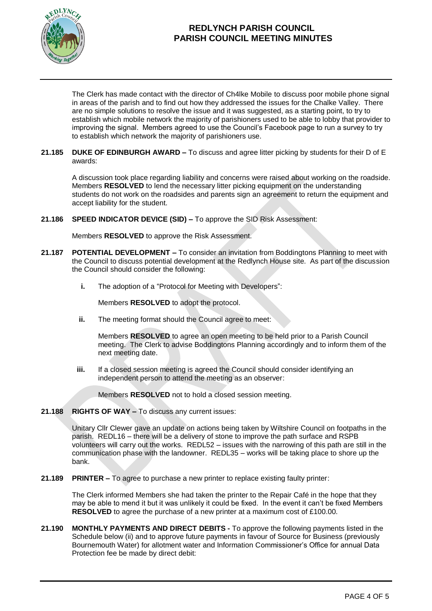

The Clerk has made contact with the director of Ch4lke Mobile to discuss poor mobile phone signal in areas of the parish and to find out how they addressed the issues for the Chalke Valley. There are no simple solutions to resolve the issue and it was suggested, as a starting point, to try to establish which mobile network the majority of parishioners used to be able to lobby that provider to improving the signal. Members agreed to use the Council's Facebook page to run a survey to try to establish which network the majority of parishioners use.

### **21.185 DUKE OF EDINBURGH AWARD –** To discuss and agree litter picking by students for their D of E awards:

A discussion took place regarding liability and concerns were raised about working on the roadside. Members **RESOLVED** to lend the necessary litter picking equipment on the understanding students do not work on the roadsides and parents sign an agreement to return the equipment and accept liability for the student.

**21.186 SPEED INDICATOR DEVICE (SID) –** To approve the SID Risk Assessment:

Members **RESOLVED** to approve the Risk Assessment.

- **21.187 POTENTIAL DEVELOPMENT –** To consider an invitation from Boddingtons Planning to meet with the Council to discuss potential development at the Redlynch House site. As part of the discussion the Council should consider the following:
	- **i.** The adoption of a "Protocol for Meeting with Developers":

Members **RESOLVED** to adopt the protocol.

**ii.** The meeting format should the Council agree to meet:

Members **RESOLVED** to agree an open meeting to be held prior to a Parish Council meeting. The Clerk to advise Boddingtons Planning accordingly and to inform them of the next meeting date.

**iii.** If a closed session meeting is agreed the Council should consider identifying an independent person to attend the meeting as an observer:

Members **RESOLVED** not to hold a closed session meeting.

**21.188 RIGHTS OF WAY –** To discuss any current issues:

Unitary Cllr Clewer gave an update on actions being taken by Wiltshire Council on footpaths in the parish. REDL16 – there will be a delivery of stone to improve the path surface and RSPB volunteers will carry out the works. REDL52 – issues with the narrowing of this path are still in the communication phase with the landowner. REDL35 – works will be taking place to shore up the bank.

**21.189 PRINTER –** To agree to purchase a new printer to replace existing faulty printer:

The Clerk informed Members she had taken the printer to the Repair Café in the hope that they may be able to mend it but it was unlikely it could be fixed. In the event it can't be fixed Members **RESOLVED** to agree the purchase of a new printer at a maximum cost of £100.00.

**21.190 MONTHLY PAYMENTS AND DIRECT DEBITS -** To approve the following payments listed in the Schedule below (ii) and to approve future payments in favour of Source for Business (previously Bournemouth Water) for allotment water and Information Commissioner's Office for annual Data Protection fee be made by direct debit: